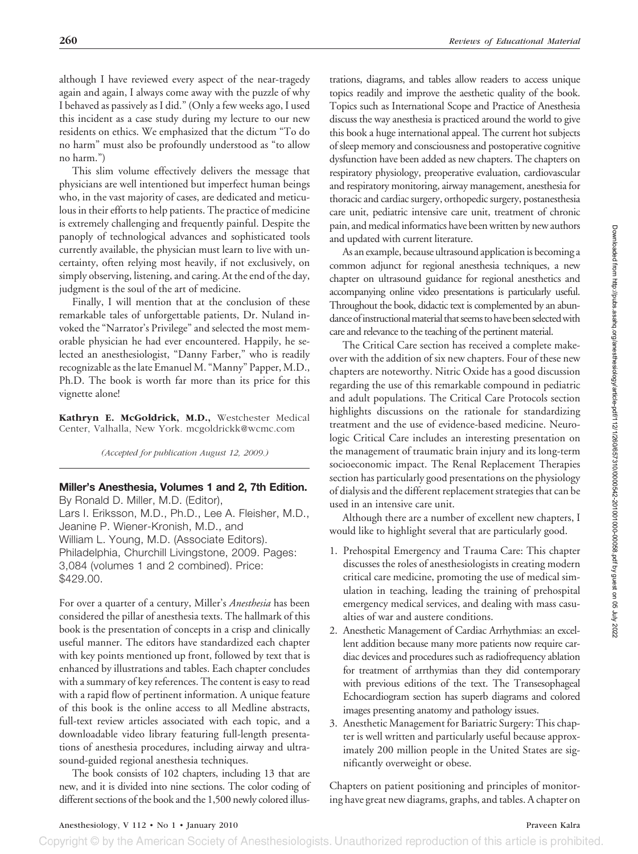although I have reviewed every aspect of the near-tragedy again and again, I always come away with the puzzle of why I behaved as passively as I did." (Only a few weeks ago, I used this incident as a case study during my lecture to our new residents on ethics. We emphasized that the dictum "To do no harm" must also be profoundly understood as "to allow no harm.")

This slim volume effectively delivers the message that physicians are well intentioned but imperfect human beings who, in the vast majority of cases, are dedicated and meticulous in their efforts to help patients. The practice of medicine is extremely challenging and frequently painful. Despite the panoply of technological advances and sophisticated tools currently available, the physician must learn to live with uncertainty, often relying most heavily, if not exclusively, on simply observing, listening, and caring. At the end of the day, judgment is the soul of the art of medicine.

Finally, I will mention that at the conclusion of these remarkable tales of unforgettable patients, Dr. Nuland invoked the "Narrator's Privilege" and selected the most memorable physician he had ever encountered. Happily, he selected an anesthesiologist, "Danny Farber," who is readily recognizable as the late Emanuel M. "Manny" Papper, M.D., Ph.D. The book is worth far more than its price for this vignette alone!

**Kathryn E. McGoldrick, M.D.,** Westchester Medical Center, Valhalla, New York. mcgoldrickk@wcmc.com

*(Accepted for publication August 12, 2009.)*

**Miller's Anesthesia, Volumes 1 and 2, 7th Edition.** By Ronald D. Miller, M.D. (Editor), Lars I. Eriksson, M.D., Ph.D., Lee A. Fleisher, M.D., Jeanine P. Wiener-Kronish, M.D., and William L. Young, M.D. (Associate Editors). Philadelphia, Churchill Livingstone, 2009. Pages: 3,084 (volumes 1 and 2 combined). Price: \$429.00.

For over a quarter of a century, Miller's *Anesthesia* has been considered the pillar of anesthesia texts. The hallmark of this book is the presentation of concepts in a crisp and clinically useful manner. The editors have standardized each chapter with key points mentioned up front, followed by text that is enhanced by illustrations and tables. Each chapter concludes with a summary of key references. The content is easy to read with a rapid flow of pertinent information. A unique feature of this book is the online access to all Medline abstracts, full-text review articles associated with each topic, and a downloadable video library featuring full-length presentations of anesthesia procedures, including airway and ultrasound-guided regional anesthesia techniques.

The book consists of 102 chapters, including 13 that are new, and it is divided into nine sections. The color coding of different sections of the book and the 1,500 newly colored illustrations, diagrams, and tables allow readers to access unique topics readily and improve the aesthetic quality of the book. Topics such as International Scope and Practice of Anesthesia discuss the way anesthesia is practiced around the world to give this book a huge international appeal. The current hot subjects of sleep memory and consciousness and postoperative cognitive dysfunction have been added as new chapters. The chapters on respiratory physiology, preoperative evaluation, cardiovascular and respiratory monitoring, airway management, anesthesia for thoracic and cardiac surgery, orthopedic surgery, postanesthesia care unit, pediatric intensive care unit, treatment of chronic pain, and medical informatics have been written by new authors and updated with current literature.

As an example, because ultrasound application is becoming a common adjunct for regional anesthesia techniques, a new chapter on ultrasound guidance for regional anesthetics and accompanying online video presentations is particularly useful. Throughout the book, didactic text is complemented by an abundance of instructional material that seems to have been selected with care and relevance to the teaching of the pertinent material.

The Critical Care section has received a complete makeover with the addition of six new chapters. Four of these new chapters are noteworthy. Nitric Oxide has a good discussion regarding the use of this remarkable compound in pediatric and adult populations. The Critical Care Protocols section highlights discussions on the rationale for standardizing treatment and the use of evidence-based medicine. Neurologic Critical Care includes an interesting presentation on the management of traumatic brain injury and its long-term socioeconomic impact. The Renal Replacement Therapies section has particularly good presentations on the physiology of dialysis and the different replacement strategies that can be used in an intensive care unit.

Although there are a number of excellent new chapters, I would like to highlight several that are particularly good.

- 1. Prehospital Emergency and Trauma Care: This chapter discusses the roles of anesthesiologists in creating modern critical care medicine, promoting the use of medical simulation in teaching, leading the training of prehospital emergency medical services, and dealing with mass casualties of war and austere conditions.
- 2. Anesthetic Management of Cardiac Arrhythmias: an excellent addition because many more patients now require cardiac devices and procedures such as radiofrequency ablation for treatment of arrthymias than they did contemporary with previous editions of the text. The Transesophageal Echocardiogram section has superb diagrams and colored images presenting anatomy and pathology issues.
- 3. Anesthetic Management for Bariatric Surgery: This chapter is well written and particularly useful because approximately 200 million people in the United States are significantly overweight or obese.

Chapters on patient positioning and principles of monitoring have great new diagrams, graphs, and tables. A chapter on